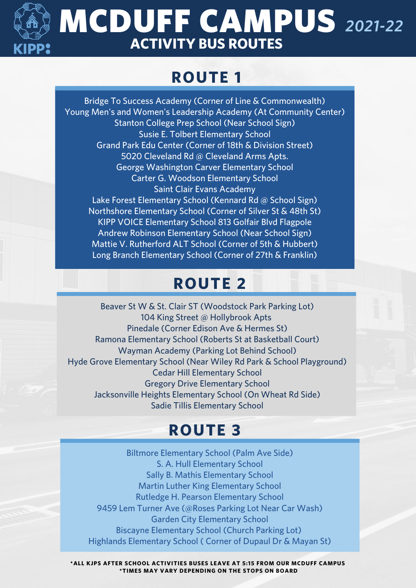

## **MCDUFF CAMPUS 2021-22 ACTIVITY BUS ROUTES**

### **ROUTE 1**

Bridge To Success Academy (Corner of Line & Commonwealth) Young Men's and Women's Leadership Academy (At Community Center) Stanton College Prep School (Near School Sign) Susie E. Tolbert Elementary School Grand Park Edu Center (Corner of 18th & Division Street) 5020 Cleveland Rd @ Cleveland Arms Apts. George Washington Carver Elementary School Carter G. Woodson Elementary School Saint Clair Evans Academy Lake Forest Elementary School (Kennard Rd @ School Sign) Northshore Elementary School (Corner of Silver St & 48th St) KIPP VOICE Elementary School 813 Golfair Blvd Flagpole Andrew Robinson Elementary School (Near School Sign) Mattie V. Rutherford ALT School (Corner of 5th & Hubbert) Long Branch Elementary School (Corner of 27th & Franklin)

### **ROUTE 2**

Beaver St W & St. Clair ST (Woodstock Park Parking Lot) 104 King Street @ Hollybrook Apts Pinedale (Corner Edison Ave & Hermes St) Ramona Elementary School (Roberts St at Basketball Court) Wayman Academy (Parking Lot Behind School) Hyde Grove Elementary School (Near Wiley Rd Park & School Playground) Cedar Hill Elementary School Gregory Drive Elementary School Jacksonville Heights Elementary School (On Wheat Rd Side) Sadie Tillis Elementary School

#### **ROUTE 3**

Biltmore Elementary School (Palm Ave Side) S. A. Hull Elementary School Sally B. Mathis Elementary School Martin Luther King Elementary School Rutledge H. Pearson Elementary School 9459 Lem Turner Ave (@Roses Parking Lot Near Car Wash) Garden City Elementary School Biscayne Elementary School (Church Parking Lot) Highlands Elementary School ( Corner of Dupaul Dr & Mayan St)

**\*ALL KJPS AFTER SCHOOL ACTIVITIES BUSES LEAVE AT 5:15 FROM OUR MCDUFF CAMPUS \*TIMES MAY VARY DEPENDING ON THE STOPS ON BOARD**